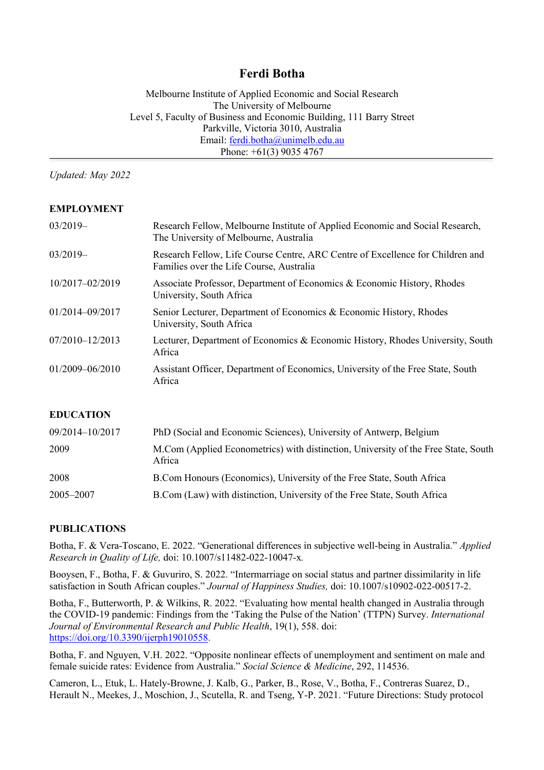# **Ferdi Botha**

Melbourne Institute of Applied Economic and Social Research The University of Melbourne Level 5, Faculty of Business and Economic Building, 111 Barry Street Parkville, Victoria 3010, Australia Email: ferdi.botha@unimelb.edu.au Phone: +61(3) 9035 4767

*Updated: May 2022*

### **EMPLOYMENT**

| $03/2019-$          | Research Fellow, Melbourne Institute of Applied Economic and Social Research,<br>The University of Melbourne, Australia    |
|---------------------|----------------------------------------------------------------------------------------------------------------------------|
| $03/2019-$          | Research Fellow, Life Course Centre, ARC Centre of Excellence for Children and<br>Families over the Life Course, Australia |
| 10/2017-02/2019     | Associate Professor, Department of Economics & Economic History, Rhodes<br>University, South Africa                        |
| 01/2014-09/2017     | Senior Lecturer, Department of Economics & Economic History, Rhodes<br>University, South Africa                            |
| 07/2010-12/2013     | Lecturer, Department of Economics & Economic History, Rhodes University, South<br>Africa                                   |
| $01/2009 - 06/2010$ | Assistant Officer, Department of Economics, University of the Free State, South<br>Africa                                  |

### **EDUCATION**

| 09/2014-10/2017 | PhD (Social and Economic Sciences), University of Antwerp, Belgium                           |
|-----------------|----------------------------------------------------------------------------------------------|
| 2009            | M.Com (Applied Econometrics) with distinction, University of the Free State, South<br>Africa |
| 2008            | B.Com Honours (Economics), University of the Free State, South Africa                        |
| 2005–2007       | B.Com (Law) with distinction, University of the Free State, South Africa                     |

#### **PUBLICATIONS**

Botha, F. & Vera-Toscano, E. 2022. "Generational differences in subjective well-being in Australia." *Applied Research in Quality of Life,* doi: 10.1007/s11482-022-10047-x*.*

Booysen, F., Botha, F. & Guvuriro, S. 2022. "Intermarriage on social status and partner dissimilarity in life satisfaction in South African couples." *Journal of Happiness Studies,* doi: 10.1007/s10902-022-00517-2.

Botha, F., Butterworth, P. & Wilkins, R. 2022. "Evaluating how mental health changed in Australia through the COVID-19 pandemic: Findings from the 'Taking the Pulse of the Nation' (TTPN) Survey. *International Journal of Environmental Research and Public Health*, 19(1), 558. doi: https://doi.org/10.3390/ijerph19010558.

Botha, F. and Nguyen, V.H. 2022. "Opposite nonlinear effects of unemployment and sentiment on male and female suicide rates: Evidence from Australia." *Social Science & Medicine*, 292, 114536.

Cameron, L., Etuk, L. Hately-Browne, J. Kalb, G., Parker, B., Rose, V., Botha, F., Contreras Suarez, D., Herault N., Meekes, J., Moschion, J., Scutella, R. and Tseng, Y-P. 2021. "Future Directions: Study protocol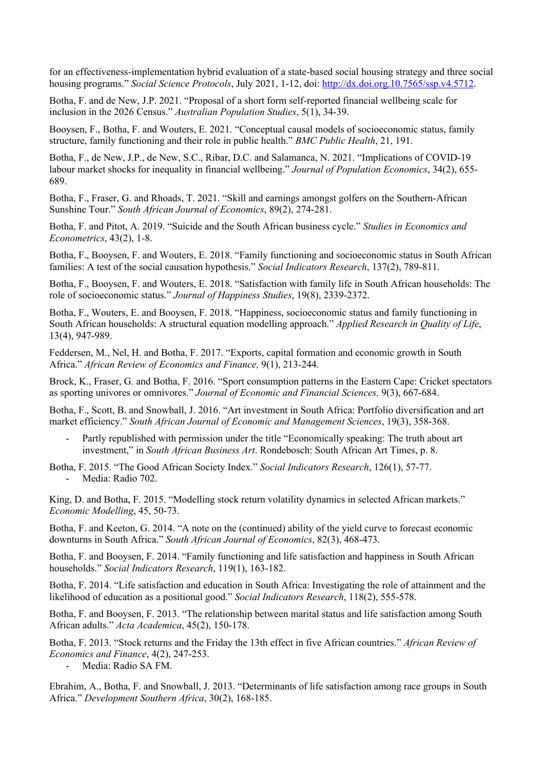for an effectiveness-implementation hybrid evaluation of a state-based social housing strategy and three social housing programs." *Social Science Protocols*, July 2021, 1-12, doi: http://dx.doi.org.10.7565/ssp.v4.5712.

Botha, F. and de New, J.P. 2021. "Proposal of a short form self-reported financial wellbeing scale for inclusion in the 2026 Census." *Australian Population Studies*, 5(1), 34-39.

Booysen, F., Botha, F. and Wouters, E. 2021. "Conceptual causal models of socioeconomic status, family structure, family functioning and their role in public health." *BMC Public Health*, 21, 191.

Botha, F., de New, J.P., de New, S.C., Ribar, D.C. and Salamanca, N. 2021. "Implications of COVID-19 labour market shocks for inequality in financial wellbeing." *Journal of Population Economics*, 34(2), 655- 689.

Botha, F., Fraser, G. and Rhoads, T. 2021. "Skill and earnings amongst golfers on the Southern-African Sunshine Tour." *South African Journal of Economics*, 89(2), 274-281.

Botha, F. and Pitot, A. 2019. "Suicide and the South African business cycle." *Studies in Economics and Econometrics*, 43(2), 1-8.

Botha, F., Booysen, F. and Wouters, E. 2018. "Family functioning and socioeconomic status in South African families: A test of the social causation hypothesis." *Social Indicators Research*, 137(2), 789-811.

Botha, F., Booysen, F. and Wouters, E. 2018. "Satisfaction with family life in South African households: The role of socioeconomic status." *Journal of Happiness Studies*, 19(8), 2339-2372.

Botha, F., Wouters, E. and Booysen, F. 2018. "Happiness, socioeconomic status and family functioning in South African households: A structural equation modelling approach." *Applied Research in Quality of Life*, 13(4), 947-989.

Feddersen, M., Nel, H. and Botha, F. 2017. "Exports, capital formation and economic growth in South Africa." *African Review of Economics and Finance,* 9(1), 213-244.

Brock, K., Fraser, G. and Botha, F. 2016. "Sport consumption patterns in the Eastern Cape: Cricket spectators as sporting univores or omnivores." *Journal of Economic and Financial Sciences,* 9(3), 667-684.

Botha, F., Scott, B. and Snowball, J. 2016. "Art investment in South Africa: Portfolio diversification and art market efficiency." *South African Journal of Economic and Management Sciences*, 19(3), 358-368.

Partly republished with permission under the title "Economically speaking: The truth about art investment," in *South African Business Art*. Rondebosch: South African Art Times, p. 8.

Botha, F. 2015. "The Good African Society Index." *Social Indicators Research*, 126(1), 57-77. - Media: Radio 702.

King, D. and Botha, F. 2015. "Modelling stock return volatility dynamics in selected African markets." *Economic Modelling*, 45, 50-73.

Botha, F. and Keeton, G. 2014. "A note on the (continued) ability of the yield curve to forecast economic downturns in South Africa." *South African Journal of Economics*, 82(3), 468-473.

Botha, F. and Booysen, F. 2014. "Family functioning and life satisfaction and happiness in South African households." *Social Indicators Research*, 119(1), 163-182.

Botha, F. 2014. "Life satisfaction and education in South Africa: Investigating the role of attainment and the likelihood of education as a positional good." *Social Indicators Research*, 118(2), 555-578.

Botha, F. and Booysen, F. 2013. "The relationship between marital status and life satisfaction among South African adults." *Acta Academica*, 45(2), 150-178.

Botha, F. 2013. "Stock returns and the Friday the 13th effect in five African countries." *African Review of Economics and Finance*, 4(2), 247-253.

Media: Radio SA FM.

Ebrahim, A., Botha, F. and Snowball, J. 2013. "Determinants of life satisfaction among race groups in South Africa." *Development Southern Africa*, 30(2), 168-185.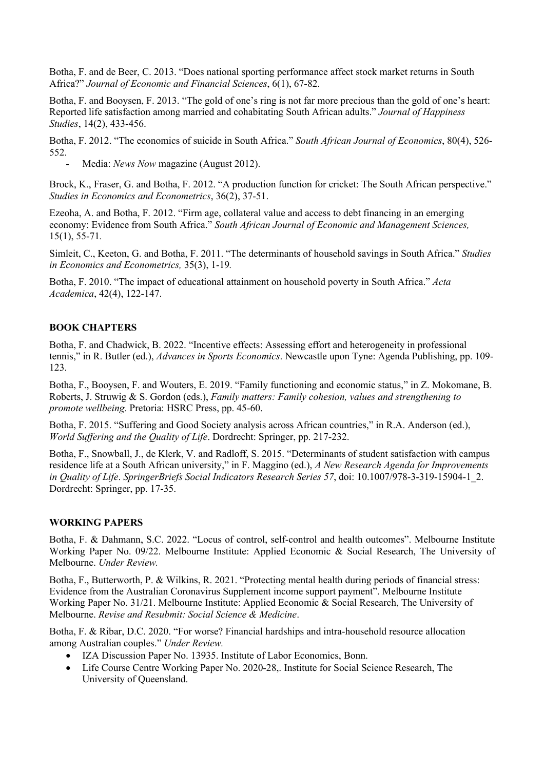Botha, F. and de Beer, C. 2013. "Does national sporting performance affect stock market returns in South Africa?" *Journal of Economic and Financial Sciences*, 6(1), 67-82.

Botha, F. and Booysen, F. 2013. "The gold of one's ring is not far more precious than the gold of one's heart: Reported life satisfaction among married and cohabitating South African adults." *Journal of Happiness Studies*, 14(2), 433-456.

Botha, F. 2012. "The economics of suicide in South Africa." *South African Journal of Economics*, 80(4), 526- 552.

Media: *News Now* magazine (August 2012).

Brock, K., Fraser, G. and Botha, F. 2012. "A production function for cricket: The South African perspective." *Studies in Economics and Econometrics*, 36(2), 37-51.

Ezeoha, A. and Botha, F. 2012. "Firm age, collateral value and access to debt financing in an emerging economy: Evidence from South Africa." *South African Journal of Economic and Management Sciences,*  15(1), 55-71*.*

Simleit, C., Keeton, G. and Botha, F. 2011. "The determinants of household savings in South Africa." *Studies in Economics and Econometrics,* 35(3), 1-19*.*

Botha, F. 2010. "The impact of educational attainment on household poverty in South Africa." *Acta Academica*, 42(4), 122-147.

#### **BOOK CHAPTERS**

Botha, F. and Chadwick, B. 2022. "Incentive effects: Assessing effort and heterogeneity in professional tennis," in R. Butler (ed.), *Advances in Sports Economics*. Newcastle upon Tyne: Agenda Publishing, pp. 109- 123.

Botha, F., Booysen, F. and Wouters, E. 2019. "Family functioning and economic status," in Z. Mokomane, B. Roberts, J. Struwig & S. Gordon (eds.), *Family matters: Family cohesion, values and strengthening to promote wellbeing*. Pretoria: HSRC Press, pp. 45-60.

Botha, F. 2015. "Suffering and Good Society analysis across African countries," in R.A. Anderson (ed.), *World Suffering and the Quality of Life*. Dordrecht: Springer, pp. 217-232.

Botha, F., Snowball, J., de Klerk, V. and Radloff, S. 2015. "Determinants of student satisfaction with campus residence life at a South African university," in F. Maggino (ed.), *A New Research Agenda for Improvements in Quality of Life*. *SpringerBriefs Social Indicators Research Series 57*, doi: 10.1007/978-3-319-15904-1\_2. Dordrecht: Springer, pp. 17-35.

#### **WORKING PAPERS**

Botha, F. & Dahmann, S.C. 2022. "Locus of control, self-control and health outcomes". Melbourne Institute Working Paper No. 09/22. Melbourne Institute: Applied Economic & Social Research, The University of Melbourne. *Under Review.*

Botha, F., Butterworth, P. & Wilkins, R. 2021. "Protecting mental health during periods of financial stress: Evidence from the Australian Coronavirus Supplement income support payment". Melbourne Institute Working Paper No. 31/21. Melbourne Institute: Applied Economic & Social Research, The University of Melbourne. *Revise and Resubmit: Social Science & Medicine*.

Botha, F. & Ribar, D.C. 2020. "For worse? Financial hardships and intra-household resource allocation among Australian couples." *Under Review.*

- IZA Discussion Paper No. 13935. Institute of Labor Economics, Bonn.
- Life Course Centre Working Paper No. 2020-28,. Institute for Social Science Research, The University of Queensland.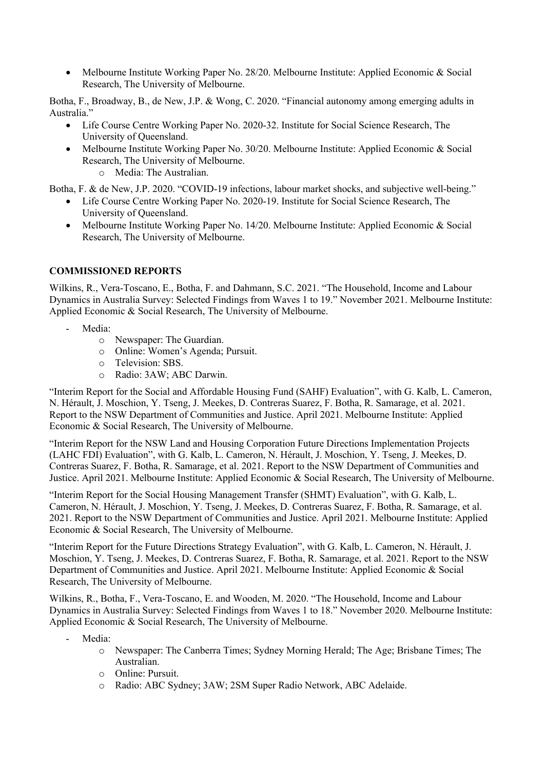• Melbourne Institute Working Paper No. 28/20. Melbourne Institute: Applied Economic & Social Research, The University of Melbourne.

Botha, F., Broadway, B., de New, J.P. & Wong, C. 2020. "Financial autonomy among emerging adults in Australia."

- Life Course Centre Working Paper No. 2020-32. Institute for Social Science Research, The University of Queensland.
- Melbourne Institute Working Paper No. 30/20. Melbourne Institute: Applied Economic & Social Research, The University of Melbourne.
	- o Media: The Australian.

Botha, F. & de New, J.P. 2020. "COVID-19 infections, labour market shocks, and subjective well-being."

- Life Course Centre Working Paper No. 2020-19. Institute for Social Science Research, The University of Queensland.
- Melbourne Institute Working Paper No. 14/20. Melbourne Institute: Applied Economic & Social Research, The University of Melbourne.

### **COMMISSIONED REPORTS**

Wilkins, R., Vera-Toscano, E., Botha, F. and Dahmann, S.C. 2021. "The Household, Income and Labour Dynamics in Australia Survey: Selected Findings from Waves 1 to 19." November 2021. Melbourne Institute: Applied Economic & Social Research, The University of Melbourne.

- Media:
	- o Newspaper: The Guardian.
	- o Online: Women's Agenda; Pursuit.
	- o Television: SBS.
	- o Radio: 3AW; ABC Darwin.

"Interim Report for the Social and Affordable Housing Fund (SAHF) Evaluation", with G. Kalb, L. Cameron, N. Hérault, J. Moschion, Y. Tseng, J. Meekes, D. Contreras Suarez, F. Botha, R. Samarage, et al. 2021. Report to the NSW Department of Communities and Justice. April 2021. Melbourne Institute: Applied Economic & Social Research, The University of Melbourne.

"Interim Report for the NSW Land and Housing Corporation Future Directions Implementation Projects (LAHC FDI) Evaluation", with G. Kalb, L. Cameron, N. Hérault, J. Moschion, Y. Tseng, J. Meekes, D. Contreras Suarez, F. Botha, R. Samarage, et al. 2021. Report to the NSW Department of Communities and Justice. April 2021. Melbourne Institute: Applied Economic & Social Research, The University of Melbourne.

"Interim Report for the Social Housing Management Transfer (SHMT) Evaluation", with G. Kalb, L. Cameron, N. Hérault, J. Moschion, Y. Tseng, J. Meekes, D. Contreras Suarez, F. Botha, R. Samarage, et al. 2021. Report to the NSW Department of Communities and Justice. April 2021. Melbourne Institute: Applied Economic & Social Research, The University of Melbourne.

"Interim Report for the Future Directions Strategy Evaluation", with G. Kalb, L. Cameron, N. Hérault, J. Moschion, Y. Tseng, J. Meekes, D. Contreras Suarez, F. Botha, R. Samarage, et al. 2021. Report to the NSW Department of Communities and Justice. April 2021. Melbourne Institute: Applied Economic & Social Research, The University of Melbourne.

Wilkins, R., Botha, F., Vera-Toscano, E. and Wooden, M. 2020. "The Household, Income and Labour Dynamics in Australia Survey: Selected Findings from Waves 1 to 18." November 2020. Melbourne Institute: Applied Economic & Social Research, The University of Melbourne.

- Media:
	- o Newspaper: The Canberra Times; Sydney Morning Herald; The Age; Brisbane Times; The Australian.
	- o Online: Pursuit.
	- o Radio: ABC Sydney; 3AW; 2SM Super Radio Network, ABC Adelaide.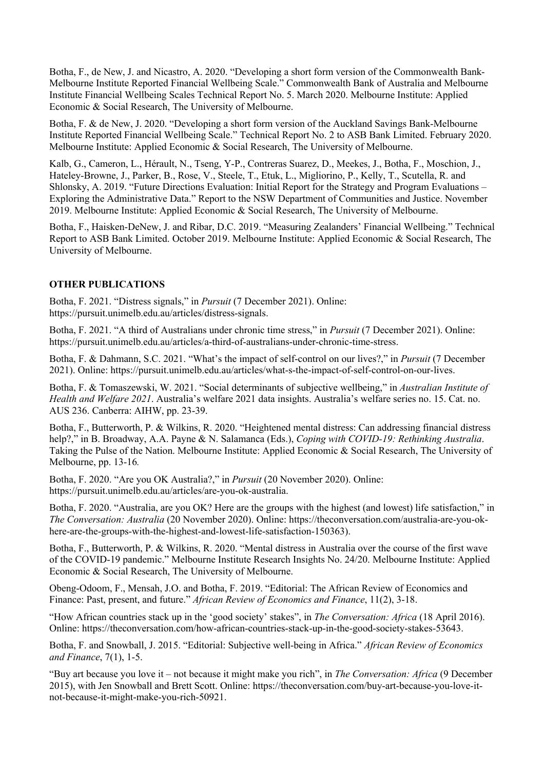Botha, F., de New, J. and Nicastro, A. 2020. "Developing a short form version of the Commonwealth Bank-Melbourne Institute Reported Financial Wellbeing Scale." Commonwealth Bank of Australia and Melbourne Institute Financial Wellbeing Scales Technical Report No. 5. March 2020. Melbourne Institute: Applied Economic & Social Research, The University of Melbourne.

Botha, F. & de New, J. 2020. "Developing a short form version of the Auckland Savings Bank-Melbourne Institute Reported Financial Wellbeing Scale." Technical Report No. 2 to ASB Bank Limited. February 2020. Melbourne Institute: Applied Economic & Social Research, The University of Melbourne.

Kalb, G., Cameron, L., Hérault, N., Tseng, Y-P., Contreras Suarez, D., Meekes, J., Botha, F., Moschion, J., Hateley-Browne, J., Parker, B., Rose, V., Steele, T., Etuk, L., Migliorino, P., Kelly, T., Scutella, R. and Shlonsky, A. 2019. "Future Directions Evaluation: Initial Report for the Strategy and Program Evaluations – Exploring the Administrative Data." Report to the NSW Department of Communities and Justice. November 2019. Melbourne Institute: Applied Economic & Social Research, The University of Melbourne.

Botha, F., Haisken-DeNew, J. and Ribar, D.C. 2019. "Measuring Zealanders' Financial Wellbeing." Technical Report to ASB Bank Limited. October 2019. Melbourne Institute: Applied Economic & Social Research, The University of Melbourne.

### **OTHER PUBLICATIONS**

Botha, F. 2021. "Distress signals," in *Pursuit* (7 December 2021). Online: https://pursuit.unimelb.edu.au/articles/distress-signals.

Botha, F. 2021. "A third of Australians under chronic time stress," in *Pursuit* (7 December 2021). Online: https://pursuit.unimelb.edu.au/articles/a-third-of-australians-under-chronic-time-stress.

Botha, F. & Dahmann, S.C. 2021. "What's the impact of self-control on our lives?," in *Pursuit* (7 December 2021). Online: https://pursuit.unimelb.edu.au/articles/what-s-the-impact-of-self-control-on-our-lives.

Botha, F. & Tomaszewski, W. 2021. "Social determinants of subjective wellbeing," in *Australian Institute of Health and Welfare 2021*. Australia's welfare 2021 data insights. Australia's welfare series no. 15. Cat. no. AUS 236. Canberra: AIHW, pp. 23-39.

Botha, F., Butterworth, P. & Wilkins, R. 2020. "Heightened mental distress: Can addressing financial distress help?," in B. Broadway, A.A. Payne & N. Salamanca (Eds.), *Coping with COVID-19: Rethinking Australia*. Taking the Pulse of the Nation. Melbourne Institute: Applied Economic & Social Research, The University of Melbourne, pp. 13-16*.*

Botha, F. 2020. "Are you OK Australia?," in *Pursuit* (20 November 2020). Online: https://pursuit.unimelb.edu.au/articles/are-you-ok-australia.

Botha, F. 2020. "Australia, are you OK? Here are the groups with the highest (and lowest) life satisfaction," in *The Conversation: Australia* (20 November 2020). Online: https://theconversation.com/australia-are-you-okhere-are-the-groups-with-the-highest-and-lowest-life-satisfaction-150363).

Botha, F., Butterworth, P. & Wilkins, R. 2020. "Mental distress in Australia over the course of the first wave of the COVID-19 pandemic." Melbourne Institute Research Insights No. 24/20. Melbourne Institute: Applied Economic & Social Research, The University of Melbourne.

Obeng-Odoom, F., Mensah, J.O. and Botha, F. 2019. "Editorial: The African Review of Economics and Finance: Past, present, and future." *African Review of Economics and Finance*, 11(2), 3-18.

"How African countries stack up in the 'good society' stakes", in *The Conversation: Africa* (18 April 2016). Online: https://theconversation.com/how-african-countries-stack-up-in-the-good-society-stakes-53643.

Botha, F. and Snowball, J. 2015. "Editorial: Subjective well-being in Africa." *African Review of Economics and Finance*, 7(1), 1-5.

"Buy art because you love it – not because it might make you rich", in *The Conversation: Africa* (9 December 2015), with Jen Snowball and Brett Scott. Online: https://theconversation.com/buy-art-because-you-love-itnot-because-it-might-make-you-rich-50921.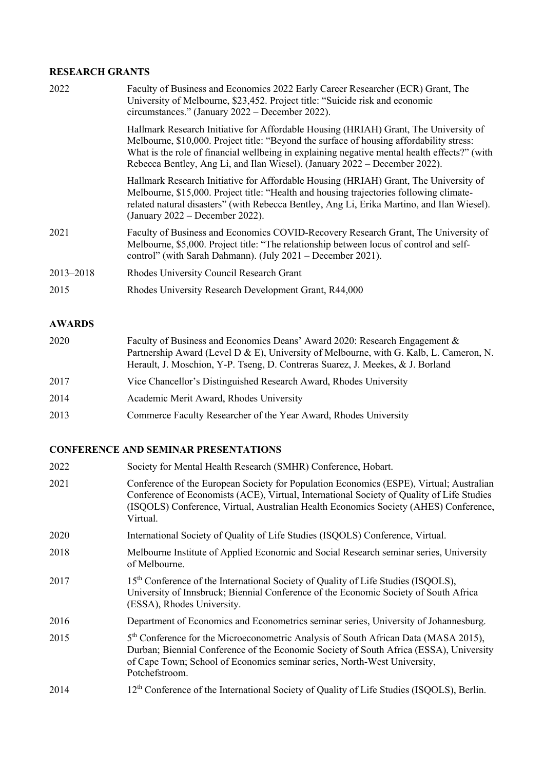# **RESEARCH GRANTS**

| 2022      | Faculty of Business and Economics 2022 Early Career Researcher (ECR) Grant, The<br>University of Melbourne, \$23,452. Project title: "Suicide risk and economic<br>circumstances." (January 2022 – December 2022).                                                                                                                                             |
|-----------|----------------------------------------------------------------------------------------------------------------------------------------------------------------------------------------------------------------------------------------------------------------------------------------------------------------------------------------------------------------|
|           | Hallmark Research Initiative for Affordable Housing (HRIAH) Grant, The University of<br>Melbourne, \$10,000. Project title: "Beyond the surface of housing affordability stress:<br>What is the role of financial wellbeing in explaining negative mental health effects?" (with<br>Rebecca Bentley, Ang Li, and Ilan Wiesel). (January 2022 – December 2022). |
|           | Hallmark Research Initiative for Affordable Housing (HRIAH) Grant, The University of<br>Melbourne, \$15,000. Project title: "Health and housing trajectories following climate-<br>related natural disasters" (with Rebecca Bentley, Ang Li, Erika Martino, and Ilan Wiesel).<br>(January $2022 -$ December 2022).                                             |
| 2021      | Faculty of Business and Economics COVID-Recovery Research Grant, The University of<br>Melbourne, \$5,000. Project title: "The relationship between locus of control and self-<br>control" (with Sarah Dahmann). (July 2021 - December 2021).                                                                                                                   |
| 2013-2018 | Rhodes University Council Research Grant                                                                                                                                                                                                                                                                                                                       |
| 2015      | Rhodes University Research Development Grant, R44,000                                                                                                                                                                                                                                                                                                          |
|           |                                                                                                                                                                                                                                                                                                                                                                |

# **AWARDS**

| 2020 | Faculty of Business and Economics Deans' Award 2020: Research Engagement &<br>Partnership Award (Level D & E), University of Melbourne, with G. Kalb, L. Cameron, N.<br>Herault, J. Moschion, Y-P. Tseng, D. Contreras Suarez, J. Meekes, & J. Borland |
|------|--------------------------------------------------------------------------------------------------------------------------------------------------------------------------------------------------------------------------------------------------------|
| 2017 | Vice Chancellor's Distinguished Research Award, Rhodes University                                                                                                                                                                                      |
| 2014 | Academic Merit Award, Rhodes University                                                                                                                                                                                                                |
| 2013 | Commerce Faculty Researcher of the Year Award, Rhodes University                                                                                                                                                                                       |

# **CONFERENCE AND SEMINAR PRESENTATIONS**

| 2022 | Society for Mental Health Research (SMHR) Conference, Hobart.                                                                                                                                                                                                                            |
|------|------------------------------------------------------------------------------------------------------------------------------------------------------------------------------------------------------------------------------------------------------------------------------------------|
| 2021 | Conference of the European Society for Population Economics (ESPE), Virtual; Australian<br>Conference of Economists (ACE), Virtual, International Society of Quality of Life Studies<br>(ISQOLS) Conference, Virtual, Australian Health Economics Society (AHES) Conference,<br>Virtual. |
| 2020 | International Society of Quality of Life Studies (ISQOLS) Conference, Virtual.                                                                                                                                                                                                           |
| 2018 | Melbourne Institute of Applied Economic and Social Research seminar series, University<br>of Melbourne.                                                                                                                                                                                  |
| 2017 | 15 <sup>th</sup> Conference of the International Society of Quality of Life Studies (ISQOLS),<br>University of Innsbruck; Biennial Conference of the Economic Society of South Africa<br>(ESSA), Rhodes University.                                                                      |
| 2016 | Department of Economics and Econometrics seminar series, University of Johannesburg.                                                                                                                                                                                                     |
| 2015 | 5 <sup>th</sup> Conference for the Microeconometric Analysis of South African Data (MASA 2015),<br>Durban; Biennial Conference of the Economic Society of South Africa (ESSA), University<br>of Cape Town; School of Economics seminar series, North-West University,<br>Potchefstroom.  |
| 2014 | 12 <sup>th</sup> Conference of the International Society of Quality of Life Studies (ISQOLS), Berlin.                                                                                                                                                                                    |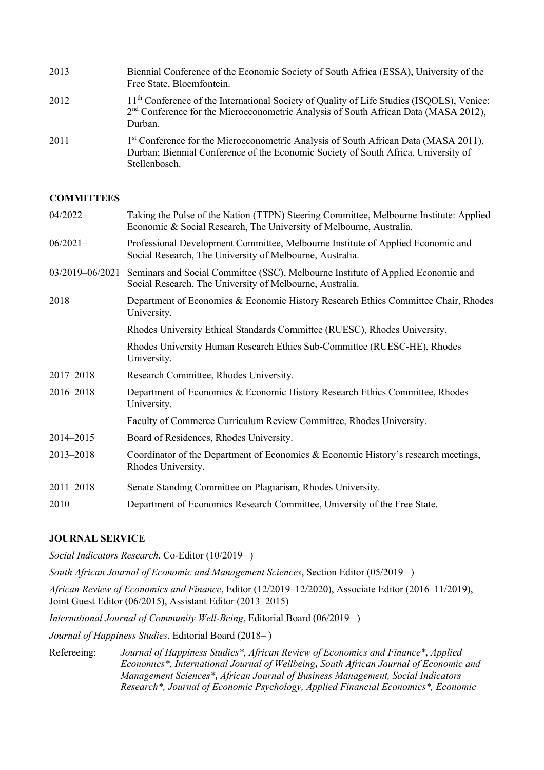| 2013 | Biennial Conference of the Economic Society of South Africa (ESSA), University of the<br>Free State, Bloemfontein.                                                                                        |
|------|-----------------------------------------------------------------------------------------------------------------------------------------------------------------------------------------------------------|
| 2012 | 11 <sup>th</sup> Conference of the International Society of Quality of Life Studies (ISQOLS), Venice;<br>$2nd$ Conference for the Microeconometric Analysis of South African Data (MASA 2012),<br>Durban. |
| 2011 | 1 <sup>st</sup> Conference for the Microeconometric Analysis of South African Data (MASA 2011),<br>Durban; Biennial Conference of the Economic Society of South Africa, University of<br>Stellenbosch.    |

### **COMMITTEES**

| $04/2022-$      | Taking the Pulse of the Nation (TTPN) Steering Committee, Melbourne Institute: Applied<br>Economic & Social Research, The University of Melbourne, Australia. |
|-----------------|---------------------------------------------------------------------------------------------------------------------------------------------------------------|
| $06/2021-$      | Professional Development Committee, Melbourne Institute of Applied Economic and<br>Social Research, The University of Melbourne, Australia.                   |
| 03/2019-06/2021 | Seminars and Social Committee (SSC), Melbourne Institute of Applied Economic and<br>Social Research, The University of Melbourne, Australia.                  |
| 2018            | Department of Economics & Economic History Research Ethics Committee Chair, Rhodes<br>University.                                                             |
|                 | Rhodes University Ethical Standards Committee (RUESC), Rhodes University.                                                                                     |
|                 | Rhodes University Human Research Ethics Sub-Committee (RUESC-HE), Rhodes<br>University.                                                                       |
| 2017-2018       | Research Committee, Rhodes University.                                                                                                                        |
| 2016-2018       | Department of Economics & Economic History Research Ethics Committee, Rhodes<br>University.                                                                   |
|                 | Faculty of Commerce Curriculum Review Committee, Rhodes University.                                                                                           |
| 2014-2015       | Board of Residences, Rhodes University.                                                                                                                       |
| 2013-2018       | Coordinator of the Department of Economics & Economic History's research meetings,<br>Rhodes University.                                                      |
| $2011 - 2018$   | Senate Standing Committee on Plagiarism, Rhodes University.                                                                                                   |
| 2010            | Department of Economics Research Committee, University of the Free State.                                                                                     |

#### **JOURNAL SERVICE**

*Social Indicators Research*, Co-Editor (10/2019– )

*South African Journal of Economic and Management Sciences*, Section Editor (05/2019– )

*African Review of Economics and Finance*, Editor (12/2019–12/2020), Associate Editor (2016–11/2019), Joint Guest Editor (06/2015), Assistant Editor (2013–2015)

*International Journal of Community Well-Being*, Editorial Board (06/2019– )

*Journal of Happiness Studies*, Editorial Board (2018– )

Refereeing: *Journal of Happiness Studies\*, African Review of Economics and Finance\*, Applied Economics\*, International Journal of Wellbeing, South African Journal of Economic and Management Sciences\*, African Journal of Business Management, Social Indicators Research\*, Journal of Economic Psychology, Applied Financial Economics\*, Economic*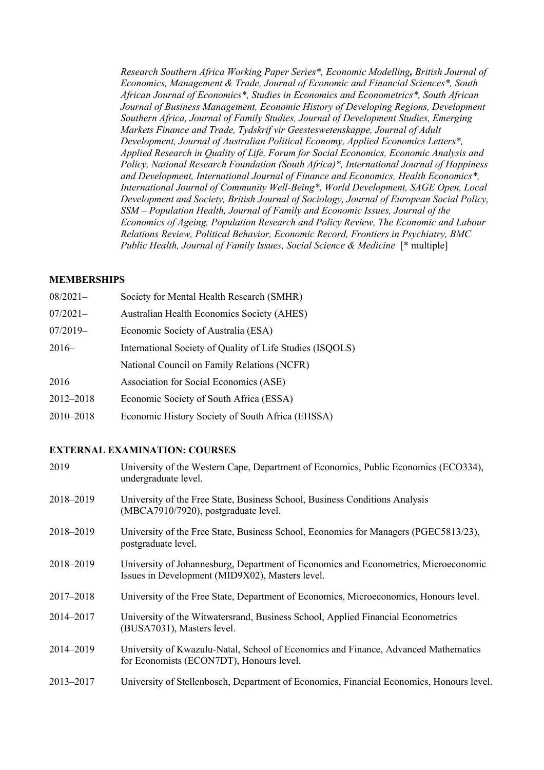*Research Southern Africa Working Paper Series\*, Economic Modelling, British Journal of Economics, Management & Trade, Journal of Economic and Financial Sciences\*, South African Journal of Economics\*, Studies in Economics and Econometrics\*, South African Journal of Business Management, Economic History of Developing Regions, Development Southern Africa, Journal of Family Studies, Journal of Development Studies, Emerging Markets Finance and Trade, Tydskrif vir Geesteswetenskappe, Journal of Adult Development, Journal of Australian Political Economy, Applied Economics Letters\*, Applied Research in Quality of Life, Forum for Social Economics, Economic Analysis and Policy, National Research Foundation (South Africa)\*, International Journal of Happiness and Development, International Journal of Finance and Economics, Health Economics\*, International Journal of Community Well-Being\*, World Development, SAGE Open, Local Development and Society, British Journal of Sociology, Journal of European Social Policy, SSM – Population Health, Journal of Family and Economic Issues, Journal of the Economics of Ageing, Population Research and Policy Review, The Economic and Labour Relations Review, Political Behavior, Economic Record, Frontiers in Psychiatry, BMC Public Health, Journal of Family Issues, Social Science & Medicine* [\* multiple]

### **MEMBERSHIPS**

| $08/2021-$ | Society for Mental Health Research (SMHR)                 |
|------------|-----------------------------------------------------------|
| $07/2021-$ | <b>Australian Health Economics Society (AHES)</b>         |
| $07/2019-$ | Economic Society of Australia (ESA)                       |
| $2016-$    | International Society of Quality of Life Studies (ISQOLS) |
|            | National Council on Family Relations (NCFR)               |
| 2016       | Association for Social Economics (ASE)                    |
| 2012-2018  | Economic Society of South Africa (ESSA)                   |
| 2010-2018  | Economic History Society of South Africa (EHSSA)          |

### **EXTERNAL EXAMINATION: COURSES**

| 2019      | University of the Western Cape, Department of Economics, Public Economics (ECO334),<br>undergraduate level.                            |
|-----------|----------------------------------------------------------------------------------------------------------------------------------------|
| 2018-2019 | University of the Free State, Business School, Business Conditions Analysis<br>(MBCA7910/7920), postgraduate level.                    |
| 2018-2019 | University of the Free State, Business School, Economics for Managers (PGEC5813/23),<br>postgraduate level.                            |
| 2018-2019 | University of Johannesburg, Department of Economics and Econometrics, Microeconomic<br>Issues in Development (MID9X02), Masters level. |
| 2017-2018 | University of the Free State, Department of Economics, Microeconomics, Honours level.                                                  |
| 2014-2017 | University of the Witwatersrand, Business School, Applied Financial Econometrics<br>(BUSA7031), Masters level.                         |
| 2014-2019 | University of Kwazulu-Natal, School of Economics and Finance, Advanced Mathematics<br>for Economists (ECON7DT), Honours level.         |
| 2013-2017 | University of Stellenbosch, Department of Economics, Financial Economics, Honours level.                                               |